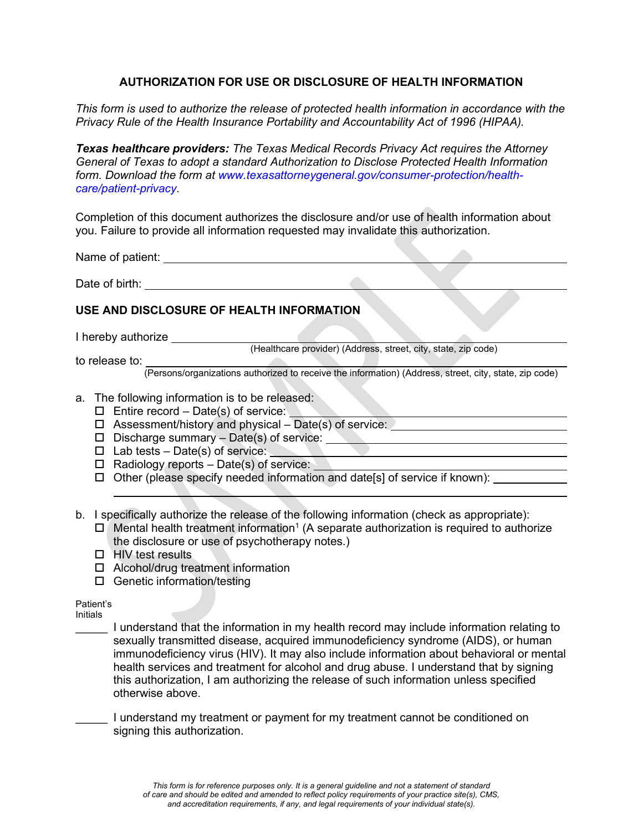# **AUTHORIZATION FOR USE OR DISCLOSURE OF HEALTH INFORMATION**

*This form is used to authorize the release of protected health information in accordance with the Privacy Rule of the Health Insurance Portability and Accountability Act of 1996 (HIPAA).*

*Texas healthcare providers: The Texas Medical Records Privacy Act requires the Attorney General of Texas to adopt a standard Authorization to Disclose Protected Health Information form. Download the form at [www.texasattorneygeneral.gov/consumer-protection/health](http://www.texasattorneygeneral.gov/consumer-protection/health-care/patient-privacy)[care/patient-privacy](http://www.texasattorneygeneral.gov/consumer-protection/health-care/patient-privacy)*.

Completion of this document authorizes the disclosure and/or use of health information about you. Failure to provide all information requested may invalidate this authorization.

Name of patient:  $\blacksquare$ 

Date of birth: **Date of birth:** 

# **USE AND DISCLOSURE OF HEALTH INFORMATION**

I hereby authorize

(Healthcare provider) (Address, street, city, state, zip code)

to release to:

(Persons/organizations authorized to receive the information) (Address, street, city, state, zip code)

## a. The following information is to be released:

- $\Box$  Entire record Date(s) of service:
- $\square$  Assessment/history and physical Date(s) of service:
- $\square$  Discharge summary Date(s) of service:
- $\square$  Lab tests Date(s) of service:
- $\Box$  Radiology reports Date(s) of service:
- $\Box$  Other (please specify needed information and date[s] of service if known):

b. I specifically authorize the release of the following information (check as appropriate):

- $\Box$  Mental health treatment information<sup>1</sup> (A separate authorization is required to authorize the disclosure or use of psychotherapy notes.)
- $\Box$  HIV test results
- $\Box$  Alcohol/drug treatment information
- □ Genetic information/testing

Patient's Initials

> \_\_\_\_\_ I understand that the information in my health record may include information relating to sexually transmitted disease, acquired immunodeficiency syndrome (AIDS), or human immunodeficiency virus (HIV). It may also include information about behavioral or mental health services and treatment for alcohol and drug abuse. I understand that by signing this authorization, I am authorizing the release of such information unless specified otherwise above.

I understand my treatment or payment for my treatment cannot be conditioned on signing this authorization.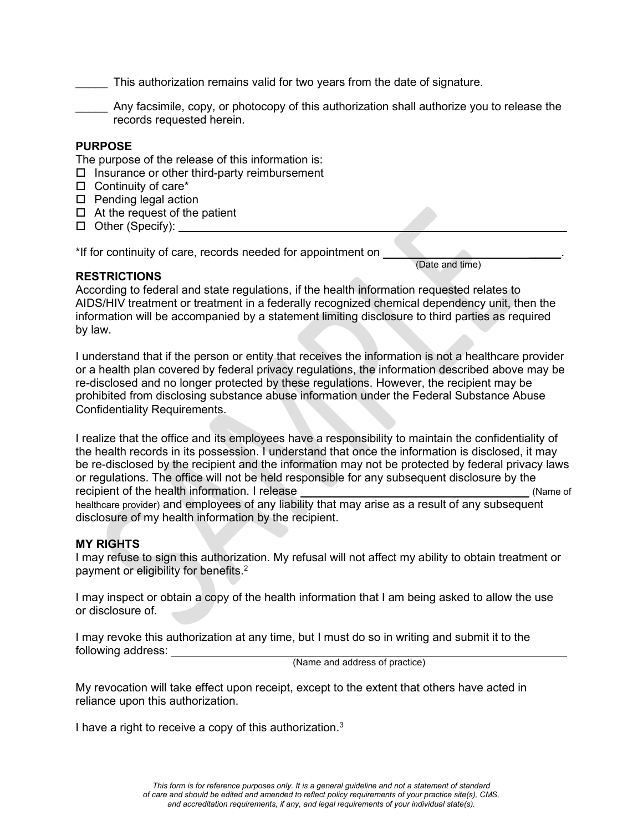This authorization remains valid for two years from the date of signature.

\_\_\_\_\_ Any facsimile, copy, or photocopy of this authorization shall authorize you to release the records requested herein.

### **PURPOSE**

The purpose of the release of this information is:

- $\square$  Insurance or other third-party reimbursement
- $\Box$  Continuity of care\*
- $\square$  Pending legal action
- $\Box$  At the request of the patient
- $\Box$  Other (Specify):

\*If for continuity of care, records needed for appointment on

### **RESTRICTIONS**

According to federal and state regulations, if the health information requested relates to AIDS/HIV treatment or treatment in a federally recognized chemical dependency unit, then the information will be accompanied by a statement limiting disclosure to third parties as required by law.

(Date and time)

I understand that if the person or entity that receives the information is not a healthcare provider or a health plan covered by federal privacy regulations, the information described above may be re-disclosed and no longer protected by these regulations. However, the recipient may be prohibited from disclosing substance abuse information under the Federal Substance Abuse Confidentiality Requirements.

I realize that the office and its employees have a responsibility to maintain the confidentiality of the health records in its possession. I understand that once the information is disclosed, it may be re-disclosed by the recipient and the information may not be protected by federal privacy laws or regulations. The office will not be held responsible for any subsequent disclosure by the recipient of the health information. I release (Name of Name of Name of Name of Name of Name of  $\sim$ healthcare provider) and employees of any liability that may arise as a result of any subsequent disclosure of my health information by the recipient.

## **MY RIGHTS**

I may refuse to sign this authorization. My refusal will not affect my ability to obtain treatment or payment or eligibility for benefits.<sup>2</sup>

I may inspect or obtain a copy of the health information that I am being asked to allow the use or disclosure of.

I may revoke this authorization at any time, but I must do so in writing and submit it to the following address:

(Name and address of practice)

My revocation will take effect upon receipt, except to the extent that others have acted in reliance upon this authorization.

I have a right to receive a copy of this authorization.3